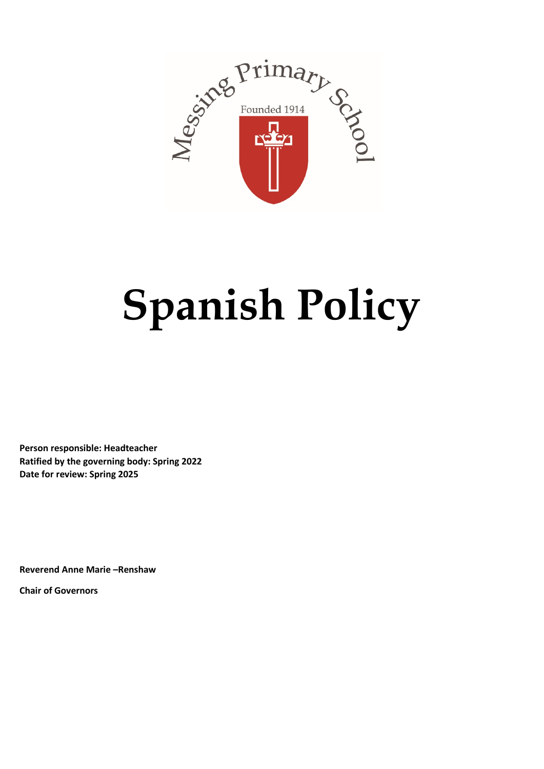

# **Spanish Policy**

**Person responsible: Headteacher Ratified by the governing body: Spring 2022 Date for review: Spring 2025**

**Reverend Anne Marie –Renshaw Chair of Governors**